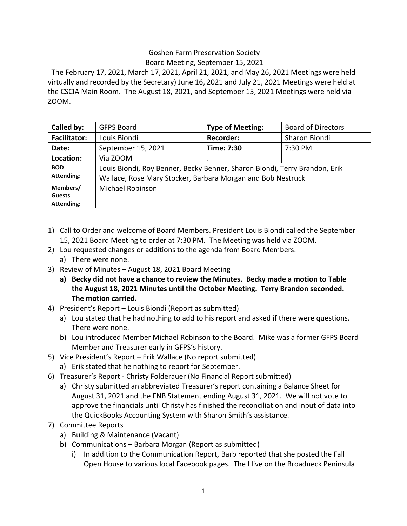## Goshen Farm Preservation Society Board Meeting, September 15, 2021

The February 17, 2021, March 17, 2021, April 21, 2021, and May 26, 2021 Meetings were held virtually and recorded by the Secretary) June 16, 2021 and July 21, 2021 Meetings were held at the CSCIA Main Room. The August 18, 2021, and September 15, 2021 Meetings were held via ZOOM.

| Called by:                              | <b>GFPS Board</b>                                                                                                                         | <b>Type of Meeting:</b> | <b>Board of Directors</b> |
|-----------------------------------------|-------------------------------------------------------------------------------------------------------------------------------------------|-------------------------|---------------------------|
| <b>Facilitator:</b>                     | Louis Biondi                                                                                                                              | <b>Recorder:</b>        | Sharon Biondi             |
| Date:                                   | September 15, 2021                                                                                                                        | Time: 7:30              | 7:30 PM                   |
| Location:                               | Via ZOOM                                                                                                                                  |                         |                           |
| <b>BOD</b><br><b>Attending:</b>         | Louis Biondi, Roy Benner, Becky Benner, Sharon Biondi, Terry Brandon, Erik<br>Wallace, Rose Mary Stocker, Barbara Morgan and Bob Nestruck |                         |                           |
| Members/<br><b>Guests</b><br>Attending: | <b>Michael Robinson</b>                                                                                                                   |                         |                           |

- 1) Call to Order and welcome of Board Members. President Louis Biondi called the September 15, 2021 Board Meeting to order at 7:30 PM. The Meeting was held via ZOOM.
- 2) Lou requested changes or additions to the agenda from Board Members.
- a) There were none.
- 3) Review of Minutes August 18, 2021 Board Meeting
	- **a) Becky did not have a chance to review the Minutes. Becky made a motion to Table the August 18, 2021 Minutes until the October Meeting. Terry Brandon seconded. The motion carried.**
- 4) President's Report Louis Biondi (Report as submitted)
	- a) Lou stated that he had nothing to add to his report and asked if there were questions. There were none.
	- b) Lou introduced Member Michael Robinson to the Board. Mike was a former GFPS Board Member and Treasurer early in GFPS's history.
- 5) Vice President's Report Erik Wallace (No report submitted)
	- a) Erik stated that he nothing to report for September.
- 6) Treasurer's Report Christy Folderauer (No Financial Report submitted)
	- a) Christy submitted an abbreviated Treasurer's report containing a Balance Sheet for August 31, 2021 and the FNB Statement ending August 31, 2021. We will not vote to approve the financials until Christy has finished the reconciliation and input of data into the QuickBooks Accounting System with Sharon Smith's assistance.
- 7) Committee Reports
	- a) Building & Maintenance (Vacant)
	- b) Communications Barbara Morgan (Report as submitted)
		- i) In addition to the Communication Report, Barb reported that she posted the Fall Open House to various local Facebook pages. The I live on the Broadneck Peninsula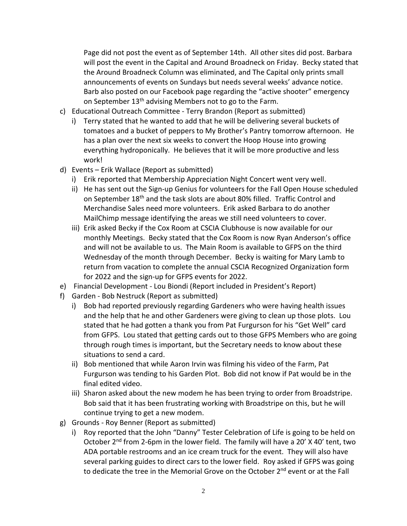Page did not post the event as of September 14th. All other sites did post. Barbara will post the event in the Capital and Around Broadneck on Friday. Becky stated that the Around Broadneck Column was eliminated, and The Capital only prints small announcements of events on Sundays but needs several weeks' advance notice. Barb also posted on our Facebook page regarding the "active shooter" emergency on September  $13<sup>th</sup>$  advising Members not to go to the Farm.

- c) Educational Outreach Committee Terry Brandon (Report as submitted)
	- i) Terry stated that he wanted to add that he will be delivering several buckets of tomatoes and a bucket of peppers to My Brother's Pantry tomorrow afternoon. He has a plan over the next six weeks to convert the Hoop House into growing everything hydroponically. He believes that it will be more productive and less work!
- d) Events Erik Wallace (Report as submitted)
	- i) Erik reported that Membership Appreciation Night Concert went very well.
	- ii) He has sent out the Sign-up Genius for volunteers for the Fall Open House scheduled on September 18th and the task slots are about 80% filled. Traffic Control and Merchandise Sales need more volunteers. Erik asked Barbara to do another MailChimp message identifying the areas we still need volunteers to cover.
	- iii) Erik asked Becky if the Cox Room at CSCIA Clubhouse is now available for our monthly Meetings. Becky stated that the Cox Room is now Ryan Anderson's office and will not be available to us. The Main Room is available to GFPS on the third Wednesday of the month through December. Becky is waiting for Mary Lamb to return from vacation to complete the annual CSCIA Recognized Organization form for 2022 and the sign-up for GFPS events for 2022.
- e) Financial Development Lou Biondi (Report included in President's Report)
- f) Garden Bob Nestruck (Report as submitted)
	- i) Bob had reported previously regarding Gardeners who were having health issues and the help that he and other Gardeners were giving to clean up those plots. Lou stated that he had gotten a thank you from Pat Furgurson for his "Get Well" card from GFPS. Lou stated that getting cards out to those GFPS Members who are going through rough times is important, but the Secretary needs to know about these situations to send a card.
	- ii) Bob mentioned that while Aaron Irvin was filming his video of the Farm, Pat Furgurson was tending to his Garden Plot. Bob did not know if Pat would be in the final edited video.
	- iii) Sharon asked about the new modem he has been trying to order from Broadstripe. Bob said that it has been frustrating working with Broadstripe on this, but he will continue trying to get a new modem.
- g) Grounds Roy Benner (Report as submitted)
	- i) Roy reported that the John "Danny" Tester Celebration of Life is going to be held on October 2<sup>nd</sup> from 2-6pm in the lower field. The family will have a 20' X 40' tent, two ADA portable restrooms and an ice cream truck for the event. They will also have several parking guides to direct cars to the lower field. Roy asked if GFPS was going to dedicate the tree in the Memorial Grove on the October 2<sup>nd</sup> event or at the Fall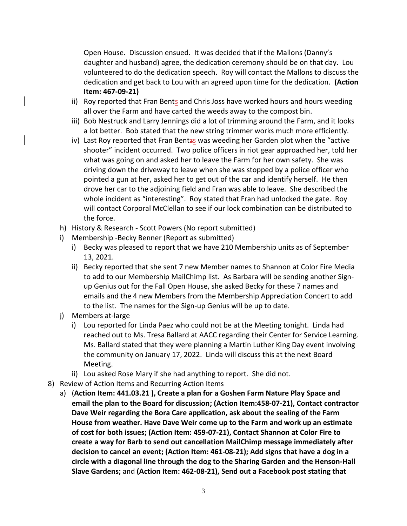Open House. Discussion ensued. It was decided that if the Mallons (Danny's daughter and husband) agree, the dedication ceremony should be on that day. Lou volunteered to do the dedication speech. Roy will contact the Mallons to discuss the dedication and get back to Lou with an agreed upon time for the dedication. **(Action Item: 467-09-21)**

- ii) Roy reported that Fran Bents and Chris Joss have worked hours and hours weeding all over the Farm and have carted the weeds away to the compost bin.
- iii) Bob Nestruck and Larry Jennings did a lot of trimming around the Farm, and it looks a lot better. Bob stated that the new string trimmer works much more efficiently.
- iv) Last Roy reported that Fran Bentzs was weeding her Garden plot when the "active shooter" incident occurred. Two police officers in riot gear approached her, told her what was going on and asked her to leave the Farm for her own safety. She was driving down the driveway to leave when she was stopped by a police officer who pointed a gun at her, asked her to get out of the car and identify herself. He then drove her car to the adjoining field and Fran was able to leave. She described the whole incident as "interesting". Roy stated that Fran had unlocked the gate. Roy will contact Corporal McClellan to see if our lock combination can be distributed to the force.
- h) History & Research Scott Powers (No report submitted)
- i) Membership -Becky Benner (Report as submitted)
	- i) Becky was pleased to report that we have 210 Membership units as of September 13, 2021.
	- ii) Becky reported that she sent 7 new Member names to Shannon at Color Fire Media to add to our Membership MailChimp list. As Barbara will be sending another Signup Genius out for the Fall Open House, she asked Becky for these 7 names and emails and the 4 new Members from the Membership Appreciation Concert to add to the list. The names for the Sign-up Genius will be up to date.
- j) Members at-large
	- i) Lou reported for Linda Paez who could not be at the Meeting tonight. Linda had reached out to Ms. Tresa Ballard at AACC regarding their Center for Service Learning. Ms. Ballard stated that they were planning a Martin Luther King Day event involving the community on January 17, 2022. Linda will discuss this at the next Board Meeting.
	- ii) Lou asked Rose Mary if she had anything to report. She did not.
- 8) Review of Action Items and Recurring Action Items
	- a) (**Action Item: 441.03.21 ), Create a plan for a Goshen Farm Nature Play Space and email the plan to the Board for discussion; (Action Item:458-07-21), Contact contractor Dave Weir regarding the Bora Care application, ask about the sealing of the Farm House from weather. Have Dave Weir come up to the Farm and work up an estimate of cost for both issues; (Action Item: 459-07-21), Contact Shannon at Color Fire to create a way for Barb to send out cancellation MailChimp message immediately after decision to cancel an event; (Action Item: 461-08-21); Add signs that have a dog in a circle with a diagonal line through the dog to the Sharing Garden and the Henson-Hall Slave Gardens;** and **(Action Item: 462-08-21), Send out a Facebook post stating that**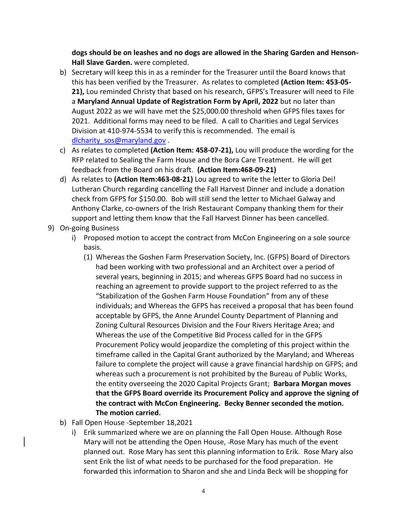**dogs should be on leashes and no dogs are allowed in the Sharing Garden and Henson-Hall Slave Garden.** were completed.

- b) Secretary will keep this in as a reminder for the Treasurer until the Board knows that this has been verified by the Treasurer. As relates to completed **(Action Item: 453-05- 21),** Lou reminded Christy that based on his research, GFPS's Treasurer will need to File a **Maryland Annual Update of Registration Form by April, 2022** but no later than August 2022 as we will have met the \$25,000.00 threshold when GFPS files taxes for 2021. Additional forms may need to be filed. A call to Charities and Legal Services Division at 410-974-5534 to verify this is recommended. The email is [dlcharity\\_sos@maryland.gov](mailto:dlcharity_sos@maryland.gov) .
- c) As relates to completed **(Action Item: 458-07-21),** Lou will produce the wording for the RFP related to Sealing the Farm House and the Bora Care Treatment. He will get feedback from the Board on his draft. **(Action Item:468-09-21)**
- d) As relates to **(Action Item:463-08-21)** Lou agreed to write the letter to Gloria Dei! Lutheran Church regarding cancelling the Fall Harvest Dinner and include a donation check from GFPS for \$150.00. Bob will still send the letter to Michael Galway and Anthony Clarke, co-owners of the Irish Restaurant Company thanking them for their support and letting them know that the Fall Harvest Dinner has been cancelled.
- 9) On-going Business
	- i) Proposed motion to accept the contract from McCon Engineering on a sole source basis.
		- (1) Whereas the Goshen Farm Preservation Society, Inc. (GFPS) Board of Directors had been working with two professional and an Architect over a period of several years, beginning in 2015; and whereas GFPS Board had no success in reaching an agreement to provide support to the project referred to as the "Stabilization of the Goshen Farm House Foundation" from any of these individuals; and Whereas the GFPS has received a proposal that has been found acceptable by GFPS, the Anne Arundel County Department of Planning and Zoning Cultural Resources Division and the Four Rivers Heritage Area; and Whereas the use of the Competitive Bid Process called for in the GFPS Procurement Policy would jeopardize the completing of this project within the timeframe called in the Capital Grant authorized by the Maryland; and Whereas failure to complete the project will cause a grave financial hardship on GFPS; and whereas such a procurement is not prohibited by the Bureau of Public Works, the entity overseeing the 2020 Capital Projects Grant; **Barbara Morgan moves that the GFPS Board override its Procurement Policy and approve the signing of the contract with McCon Engineering. Becky Benner seconded the motion. The motion carried.**
	- b) Fall Open House -September 18,2021
		- i) Erik summarized where we are on planning the Fall Open House. Although Rose Mary will not be attending the Open House, -Rose Mary has much of the event planned out. Rose Mary has sent this planning information to Erik. Rose Mary also sent Erik the list of what needs to be purchased for the food preparation. He forwarded this information to Sharon and she and Linda Beck will be shopping for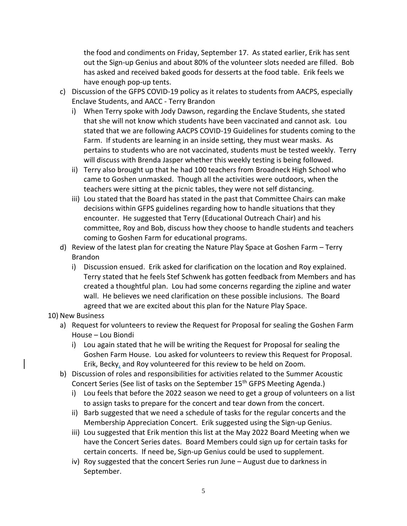the food and condiments on Friday, September 17. As stated earlier, Erik has sent out the Sign-up Genius and about 80% of the volunteer slots needed are filled. Bob has asked and received baked goods for desserts at the food table. Erik feels we have enough pop-up tents.

- c) Discussion of the GFPS COVID-19 policy as it relates to students from AACPS, especially Enclave Students, and AACC - Terry Brandon
	- i) When Terry spoke with Jody Dawson, regarding the Enclave Students, she stated that she will not know which students have been vaccinated and cannot ask. Lou stated that we are following AACPS COVID-19 Guidelines for students coming to the Farm. If students are learning in an inside setting, they must wear masks. As pertains to students who are not vaccinated, students must be tested weekly. Terry will discuss with Brenda Jasper whether this weekly testing is being followed.
	- ii) Terry also brought up that he had 100 teachers from Broadneck High School who came to Goshen unmasked. Though all the activities were outdoors, when the teachers were sitting at the picnic tables, they were not self distancing.
	- iii) Lou stated that the Board has stated in the past that Committee Chairs can make decisions within GFPS guidelines regarding how to handle situations that they encounter. He suggested that Terry (Educational Outreach Chair) and his committee, Roy and Bob, discuss how they choose to handle students and teachers coming to Goshen Farm for educational programs.
- d) Review of the latest plan for creating the Nature Play Space at Goshen Farm Terry Brandon
	- i) Discussion ensued. Erik asked for clarification on the location and Roy explained. Terry stated that he feels Stef Schwenk has gotten feedback from Members and has created a thoughtful plan. Lou had some concerns regarding the zipline and water wall. He believes we need clarification on these possible inclusions. The Board agreed that we are excited about this plan for the Nature Play Space.

## 10) New Business

- a) Request for volunteers to review the Request for Proposal for sealing the Goshen Farm House – Lou Biondi
	- i) Lou again stated that he will be writing the Request for Proposal for sealing the Goshen Farm House. Lou asked for volunteers to review this Request for Proposal. Erik, Becky, and Roy volunteered for this review to be held on Zoom.
- b) Discussion of roles and responsibilities for activities related to the Summer Acoustic Concert Series (See list of tasks on the September 15<sup>th</sup> GFPS Meeting Agenda.)
	- i) Lou feels that before the 2022 season we need to get a group of volunteers on a list to assign tasks to prepare for the concert and tear down from the concert.
	- ii) Barb suggested that we need a schedule of tasks for the regular concerts and the Membership Appreciation Concert. Erik suggested using the Sign-up Genius.
	- iii) Lou suggested that Erik mention this list at the May 2022 Board Meeting when we have the Concert Series dates. Board Members could sign up for certain tasks for certain concerts. If need be, Sign-up Genius could be used to supplement.
	- iv) Roy suggested that the concert Series run June August due to darkness in September.